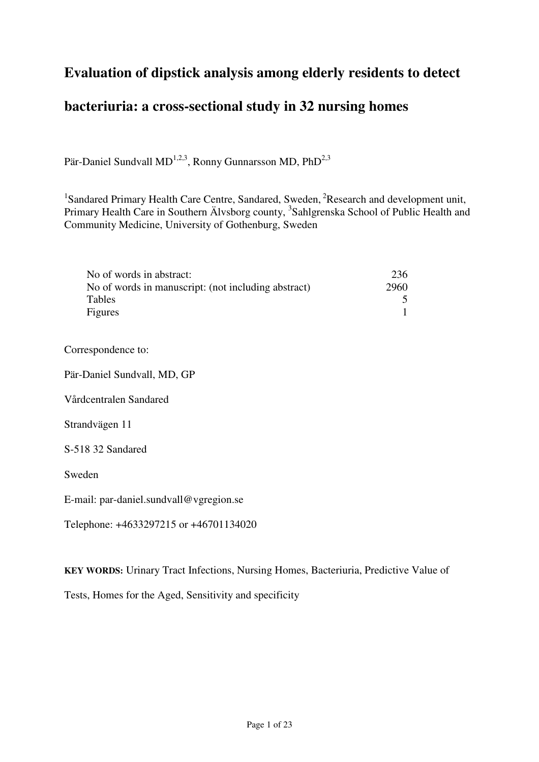# **Evaluation of dipstick analysis among elderly residents to detect**

# **bacteriuria: a cross-sectional study in 32 nursing homes**

Pär-Daniel Sundvall MD<sup>1,2,3</sup>, Ronny Gunnarsson MD, PhD<sup>2,3</sup>

<sup>1</sup>Sandared Primary Health Care Centre, Sandared, Sweden, <sup>2</sup>Research and development unit, Primary Health Care in Southern Älvsborg county, <sup>3</sup>Sahlgrenska School of Public Health and Community Medicine, University of Gothenburg, Sweden

| No of words in abstract:                            | 236  |
|-----------------------------------------------------|------|
| No of words in manuscript: (not including abstract) | 2960 |
| Tables                                              |      |
| Figures                                             |      |

Correspondence to:

Pär-Daniel Sundvall, MD, GP

Vårdcentralen Sandared

Strandvägen 11

S-518 32 Sandared

Sweden

E-mail: par-daniel.sundvall@vgregion.se

Telephone: +4633297215 or +46701134020

**KEY WORDS:** Urinary Tract Infections, Nursing Homes, Bacteriuria, Predictive Value of

Tests, Homes for the Aged, Sensitivity and specificity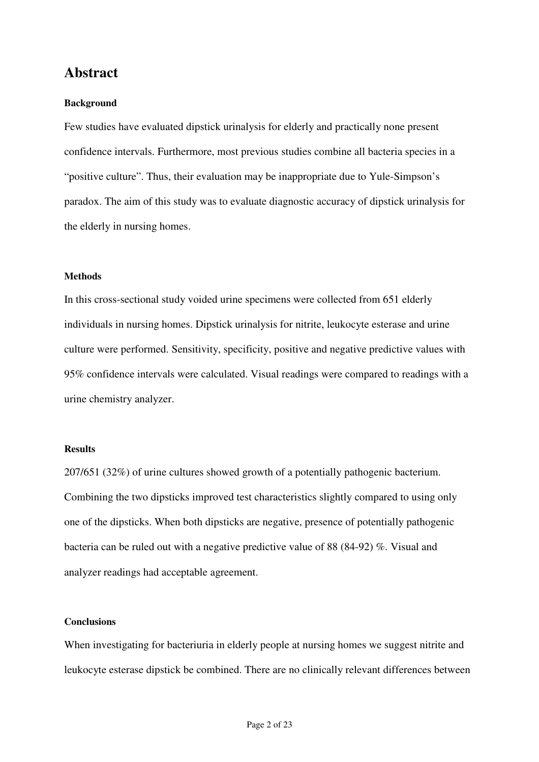## **Abstract**

### **Background**

Few studies have evaluated dipstick urinalysis for elderly and practically none present confidence intervals. Furthermore, most previous studies combine all bacteria species in a "positive culture". Thus, their evaluation may be inappropriate due to Yule-Simpson's paradox. The aim of this study was to evaluate diagnostic accuracy of dipstick urinalysis for the elderly in nursing homes.

## **Methods**

In this cross-sectional study voided urine specimens were collected from 651 elderly individuals in nursing homes. Dipstick urinalysis for nitrite, leukocyte esterase and urine culture were performed. Sensitivity, specificity, positive and negative predictive values with 95% confidence intervals were calculated. Visual readings were compared to readings with a urine chemistry analyzer.

#### **Results**

207/651 (32%) of urine cultures showed growth of a potentially pathogenic bacterium. Combining the two dipsticks improved test characteristics slightly compared to using only one of the dipsticks. When both dipsticks are negative, presence of potentially pathogenic bacteria can be ruled out with a negative predictive value of 88 (84-92) %. Visual and analyzer readings had acceptable agreement.

### **Conclusions**

When investigating for bacteriuria in elderly people at nursing homes we suggest nitrite and leukocyte esterase dipstick be combined. There are no clinically relevant differences between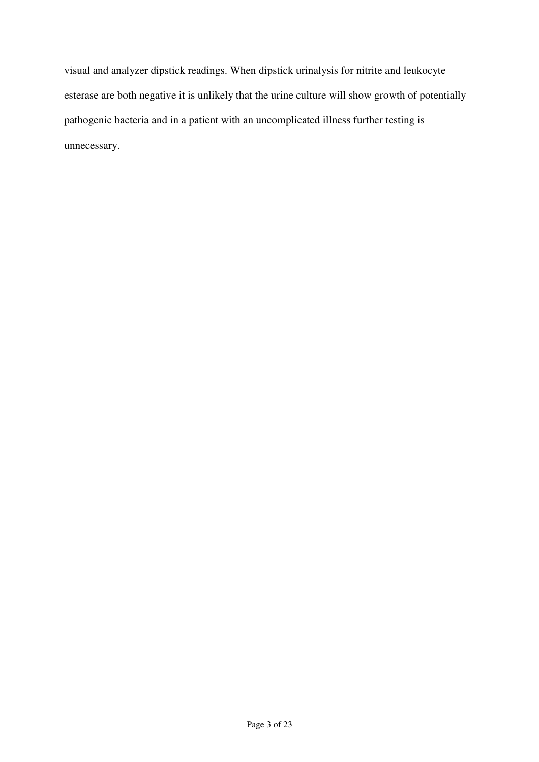visual and analyzer dipstick readings. When dipstick urinalysis for nitrite and leukocyte esterase are both negative it is unlikely that the urine culture will show growth of potentially pathogenic bacteria and in a patient with an uncomplicated illness further testing is unnecessary.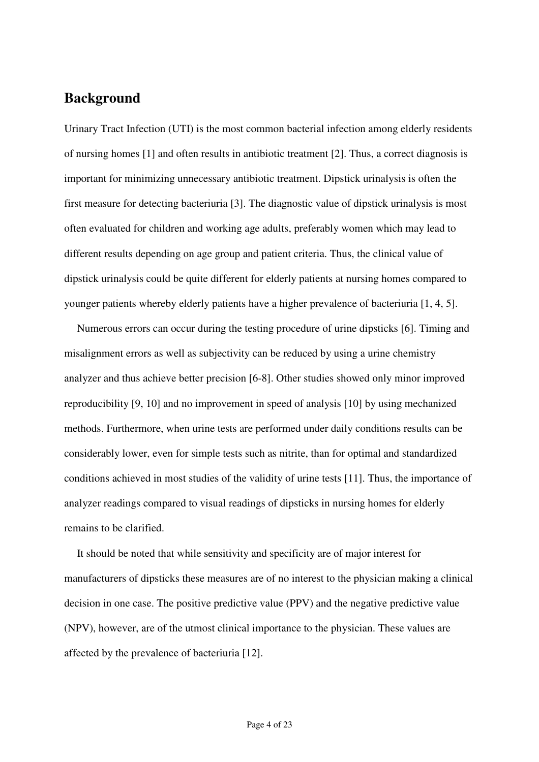## **Background**

Urinary Tract Infection (UTI) is the most common bacterial infection among elderly residents of nursing homes [1] and often results in antibiotic treatment [2]. Thus, a correct diagnosis is important for minimizing unnecessary antibiotic treatment. Dipstick urinalysis is often the first measure for detecting bacteriuria [3]. The diagnostic value of dipstick urinalysis is most often evaluated for children and working age adults, preferably women which may lead to different results depending on age group and patient criteria. Thus, the clinical value of dipstick urinalysis could be quite different for elderly patients at nursing homes compared to younger patients whereby elderly patients have a higher prevalence of bacteriuria [1, 4, 5].

Numerous errors can occur during the testing procedure of urine dipsticks [6]. Timing and misalignment errors as well as subjectivity can be reduced by using a urine chemistry analyzer and thus achieve better precision [6-8]. Other studies showed only minor improved reproducibility [9, 10] and no improvement in speed of analysis [10] by using mechanized methods. Furthermore, when urine tests are performed under daily conditions results can be considerably lower, even for simple tests such as nitrite, than for optimal and standardized conditions achieved in most studies of the validity of urine tests [11]. Thus, the importance of analyzer readings compared to visual readings of dipsticks in nursing homes for elderly remains to be clarified.

It should be noted that while sensitivity and specificity are of major interest for manufacturers of dipsticks these measures are of no interest to the physician making a clinical decision in one case. The positive predictive value (PPV) and the negative predictive value (NPV), however, are of the utmost clinical importance to the physician. These values are affected by the prevalence of bacteriuria [12].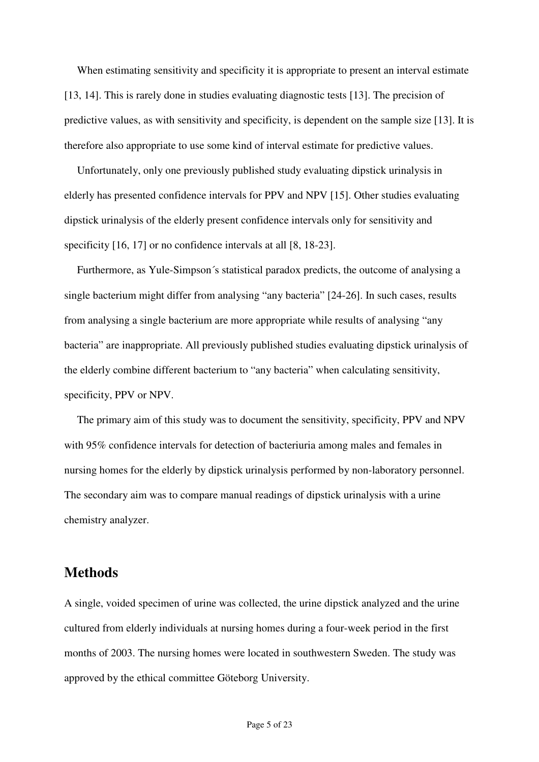When estimating sensitivity and specificity it is appropriate to present an interval estimate [13, 14]. This is rarely done in studies evaluating diagnostic tests [13]. The precision of predictive values, as with sensitivity and specificity, is dependent on the sample size [13]. It is therefore also appropriate to use some kind of interval estimate for predictive values.

Unfortunately, only one previously published study evaluating dipstick urinalysis in elderly has presented confidence intervals for PPV and NPV [15]. Other studies evaluating dipstick urinalysis of the elderly present confidence intervals only for sensitivity and specificity [16, 17] or no confidence intervals at all [8, 18-23].

Furthermore, as Yule-Simpson´s statistical paradox predicts, the outcome of analysing a single bacterium might differ from analysing "any bacteria" [24-26]. In such cases, results from analysing a single bacterium are more appropriate while results of analysing "any bacteria" are inappropriate. All previously published studies evaluating dipstick urinalysis of the elderly combine different bacterium to "any bacteria" when calculating sensitivity, specificity, PPV or NPV.

The primary aim of this study was to document the sensitivity, specificity, PPV and NPV with 95% confidence intervals for detection of bacteriuria among males and females in nursing homes for the elderly by dipstick urinalysis performed by non-laboratory personnel. The secondary aim was to compare manual readings of dipstick urinalysis with a urine chemistry analyzer.

# **Methods**

A single, voided specimen of urine was collected, the urine dipstick analyzed and the urine cultured from elderly individuals at nursing homes during a four-week period in the first months of 2003. The nursing homes were located in southwestern Sweden. The study was approved by the ethical committee Göteborg University.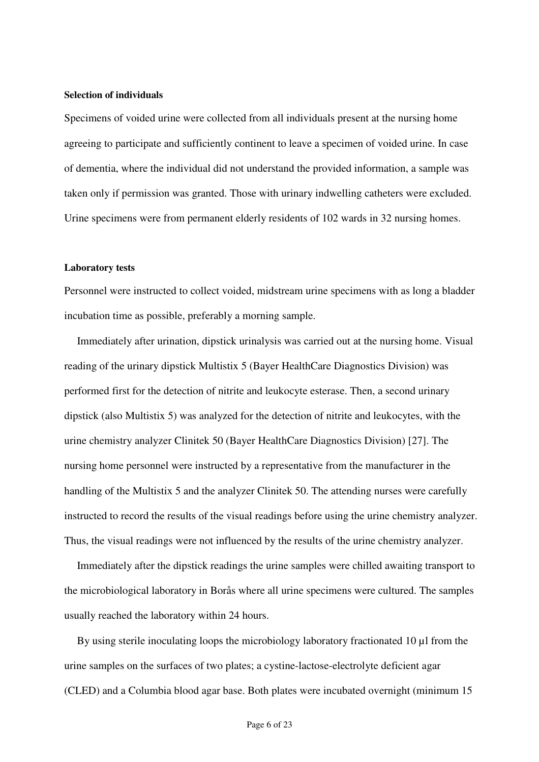### **Selection of individuals**

Specimens of voided urine were collected from all individuals present at the nursing home agreeing to participate and sufficiently continent to leave a specimen of voided urine. In case of dementia, where the individual did not understand the provided information, a sample was taken only if permission was granted. Those with urinary indwelling catheters were excluded. Urine specimens were from permanent elderly residents of 102 wards in 32 nursing homes.

#### **Laboratory tests**

Personnel were instructed to collect voided, midstream urine specimens with as long a bladder incubation time as possible, preferably a morning sample.

Immediately after urination, dipstick urinalysis was carried out at the nursing home. Visual reading of the urinary dipstick Multistix 5 (Bayer HealthCare Diagnostics Division) was performed first for the detection of nitrite and leukocyte esterase. Then, a second urinary dipstick (also Multistix 5) was analyzed for the detection of nitrite and leukocytes, with the urine chemistry analyzer Clinitek 50 (Bayer HealthCare Diagnostics Division) [27]. The nursing home personnel were instructed by a representative from the manufacturer in the handling of the Multistix 5 and the analyzer Clinitek 50. The attending nurses were carefully instructed to record the results of the visual readings before using the urine chemistry analyzer. Thus, the visual readings were not influenced by the results of the urine chemistry analyzer.

Immediately after the dipstick readings the urine samples were chilled awaiting transport to the microbiological laboratory in Borås where all urine specimens were cultured. The samples usually reached the laboratory within 24 hours.

By using sterile inoculating loops the microbiology laboratory fractionated 10 µl from the urine samples on the surfaces of two plates; a cystine-lactose-electrolyte deficient agar (CLED) and a Columbia blood agar base. Both plates were incubated overnight (minimum 15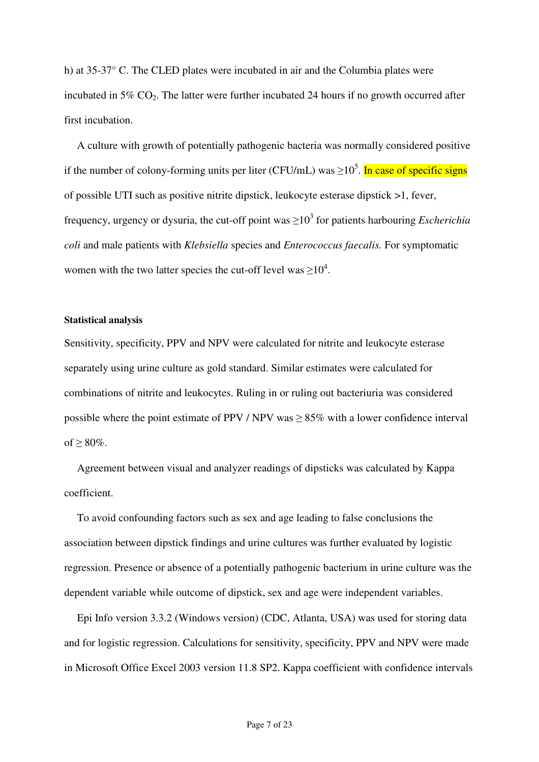h) at 35-37° C. The CLED plates were incubated in air and the Columbia plates were incubated in  $5\%$  CO<sub>2</sub>. The latter were further incubated 24 hours if no growth occurred after first incubation.

A culture with growth of potentially pathogenic bacteria was normally considered positive if the number of colony-forming units per liter (CFU/mL) was  $\geq 10^5$ . In case of specific signs of possible UTI such as positive nitrite dipstick, leukocyte esterase dipstick >1, fever, frequency, urgency or dysuria, the cut-off point was  $\geq 10^3$  for patients harbouring *Escherichia coli* and male patients with *Klebsiella* species and *Enterococcus faecalis.* For symptomatic women with the two latter species the cut-off level was  $\geq 10^4$ .

#### **Statistical analysis**

Sensitivity, specificity, PPV and NPV were calculated for nitrite and leukocyte esterase separately using urine culture as gold standard. Similar estimates were calculated for combinations of nitrite and leukocytes. Ruling in or ruling out bacteriuria was considered possible where the point estimate of PPV / NPV was  $\geq$  85% with a lower confidence interval of  $> 80\%$ .

Agreement between visual and analyzer readings of dipsticks was calculated by Kappa coefficient.

To avoid confounding factors such as sex and age leading to false conclusions the association between dipstick findings and urine cultures was further evaluated by logistic regression. Presence or absence of a potentially pathogenic bacterium in urine culture was the dependent variable while outcome of dipstick, sex and age were independent variables.

Epi Info version 3.3.2 (Windows version) (CDC, Atlanta, USA) was used for storing data and for logistic regression. Calculations for sensitivity, specificity, PPV and NPV were made in Microsoft Office Excel 2003 version 11.8 SP2. Kappa coefficient with confidence intervals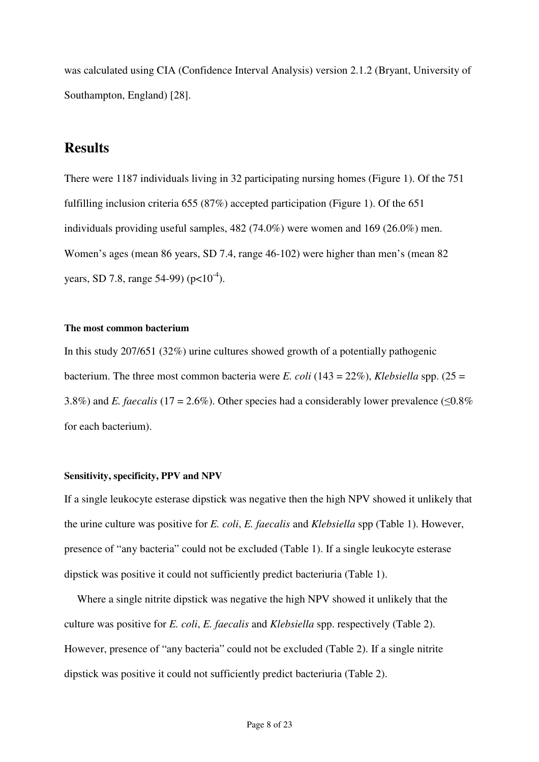was calculated using CIA (Confidence Interval Analysis) version 2.1.2 (Bryant, University of Southampton, England) [28].

# **Results**

There were 1187 individuals living in 32 participating nursing homes (Figure 1). Of the 751 fulfilling inclusion criteria 655 (87%) accepted participation (Figure 1). Of the 651 individuals providing useful samples, 482 (74.0%) were women and 169 (26.0%) men. Women's ages (mean 86 years, SD 7.4, range 46-102) were higher than men's (mean 82 years, SD 7.8, range 54-99) ( $p<10^{-4}$ ).

### **The most common bacterium**

In this study 207/651 (32%) urine cultures showed growth of a potentially pathogenic bacterium. The three most common bacteria were *E. coli* (143 = 22%), *Klebsiella* spp. (25 = 3.8%) and *E. faecalis* (17 = 2.6%). Other species had a considerably lower prevalence ( $\leq 0.8\%$ ) for each bacterium).

## **Sensitivity, specificity, PPV and NPV**

If a single leukocyte esterase dipstick was negative then the high NPV showed it unlikely that the urine culture was positive for *E. coli*, *E. faecalis* and *Klebsiella* spp (Table 1). However, presence of "any bacteria" could not be excluded (Table 1). If a single leukocyte esterase dipstick was positive it could not sufficiently predict bacteriuria (Table 1).

Where a single nitrite dipstick was negative the high NPV showed it unlikely that the culture was positive for *E. coli*, *E. faecalis* and *Klebsiella* spp. respectively (Table 2). However, presence of "any bacteria" could not be excluded (Table 2). If a single nitrite dipstick was positive it could not sufficiently predict bacteriuria (Table 2).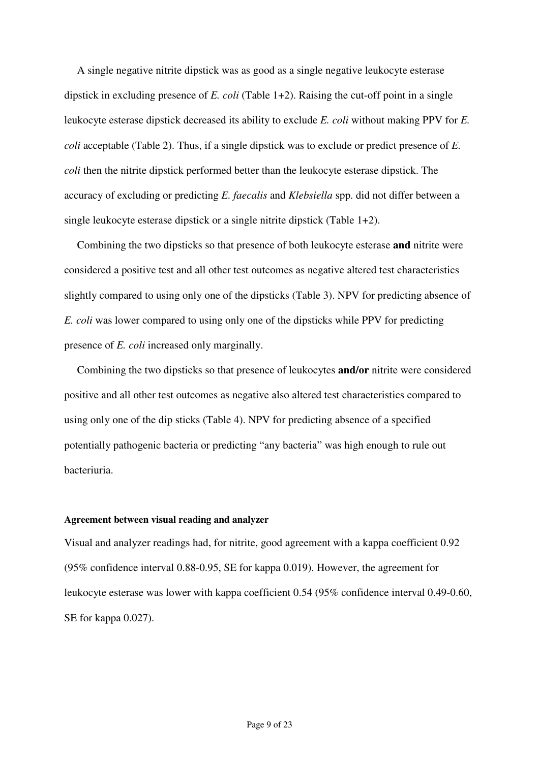A single negative nitrite dipstick was as good as a single negative leukocyte esterase dipstick in excluding presence of *E. coli* (Table 1+2). Raising the cut-off point in a single leukocyte esterase dipstick decreased its ability to exclude *E. coli* without making PPV for *E. coli* acceptable (Table 2). Thus, if a single dipstick was to exclude or predict presence of *E. coli* then the nitrite dipstick performed better than the leukocyte esterase dipstick. The accuracy of excluding or predicting *E. faecalis* and *Klebsiella* spp. did not differ between a single leukocyte esterase dipstick or a single nitrite dipstick (Table 1+2).

Combining the two dipsticks so that presence of both leukocyte esterase **and** nitrite were considered a positive test and all other test outcomes as negative altered test characteristics slightly compared to using only one of the dipsticks (Table 3). NPV for predicting absence of *E. coli* was lower compared to using only one of the dipsticks while PPV for predicting presence of *E. coli* increased only marginally.

Combining the two dipsticks so that presence of leukocytes **and/or** nitrite were considered positive and all other test outcomes as negative also altered test characteristics compared to using only one of the dip sticks (Table 4). NPV for predicting absence of a specified potentially pathogenic bacteria or predicting "any bacteria" was high enough to rule out bacteriuria.

### **Agreement between visual reading and analyzer**

Visual and analyzer readings had, for nitrite, good agreement with a kappa coefficient 0.92 (95% confidence interval 0.88-0.95, SE for kappa 0.019). However, the agreement for leukocyte esterase was lower with kappa coefficient 0.54 (95% confidence interval 0.49-0.60, SE for kappa 0.027).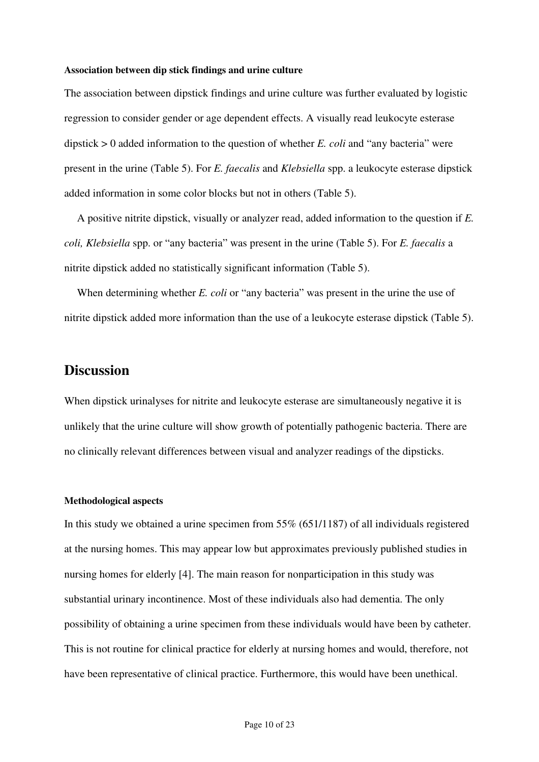#### **Association between dip stick findings and urine culture**

The association between dipstick findings and urine culture was further evaluated by logistic regression to consider gender or age dependent effects. A visually read leukocyte esterase dipstick > 0 added information to the question of whether *E. coli* and "any bacteria" were present in the urine (Table 5). For *E. faecalis* and *Klebsiella* spp. a leukocyte esterase dipstick added information in some color blocks but not in others (Table 5).

A positive nitrite dipstick, visually or analyzer read, added information to the question if *E. coli, Klebsiella* spp. or "any bacteria" was present in the urine (Table 5). For *E. faecalis* a nitrite dipstick added no statistically significant information (Table 5).

When determining whether *E. coli* or "any bacteria" was present in the urine the use of nitrite dipstick added more information than the use of a leukocyte esterase dipstick (Table 5).

## **Discussion**

When dipstick urinalyses for nitrite and leukocyte esterase are simultaneously negative it is unlikely that the urine culture will show growth of potentially pathogenic bacteria. There are no clinically relevant differences between visual and analyzer readings of the dipsticks.

### **Methodological aspects**

In this study we obtained a urine specimen from 55% (651/1187) of all individuals registered at the nursing homes. This may appear low but approximates previously published studies in nursing homes for elderly [4]. The main reason for nonparticipation in this study was substantial urinary incontinence. Most of these individuals also had dementia. The only possibility of obtaining a urine specimen from these individuals would have been by catheter. This is not routine for clinical practice for elderly at nursing homes and would, therefore, not have been representative of clinical practice. Furthermore, this would have been unethical.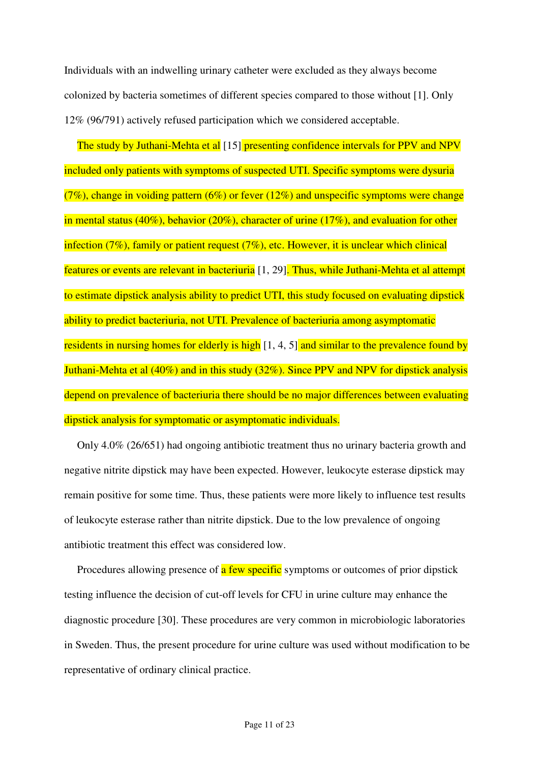Individuals with an indwelling urinary catheter were excluded as they always become colonized by bacteria sometimes of different species compared to those without [1]. Only 12% (96/791) actively refused participation which we considered acceptable.

The study by Juthani-Mehta et al [15] presenting confidence intervals for PPV and NPV included only patients with symptoms of suspected UTI. Specific symptoms were dysuria  $(7\%)$ , change in voiding pattern  $(6\%)$  or fever  $(12\%)$  and unspecific symptoms were change in mental status (40%), behavior (20%), character of urine (17%), and evaluation for other infection (7%), family or patient request (7%), etc. However, it is unclear which clinical features or events are relevant in bacteriuria [1, 29]. Thus, while Juthani-Mehta et al attempt to estimate dipstick analysis ability to predict UTI, this study focused on evaluating dipstick ability to predict bacteriuria, not UTI. Prevalence of bacteriuria among asymptomatic residents in nursing homes for elderly is high [1, 4, 5] and similar to the prevalence found by Juthani-Mehta et al (40%) and in this study (32%). Since PPV and NPV for dipstick analysis depend on prevalence of bacteriuria there should be no major differences between evaluating dipstick analysis for symptomatic or asymptomatic individuals.

Only 4.0% (26/651) had ongoing antibiotic treatment thus no urinary bacteria growth and negative nitrite dipstick may have been expected. However, leukocyte esterase dipstick may remain positive for some time. Thus, these patients were more likely to influence test results of leukocyte esterase rather than nitrite dipstick. Due to the low prevalence of ongoing antibiotic treatment this effect was considered low.

Procedures allowing presence of **a** few specific symptoms or outcomes of prior dipstick testing influence the decision of cut-off levels for CFU in urine culture may enhance the diagnostic procedure [30]. These procedures are very common in microbiologic laboratories in Sweden. Thus, the present procedure for urine culture was used without modification to be representative of ordinary clinical practice.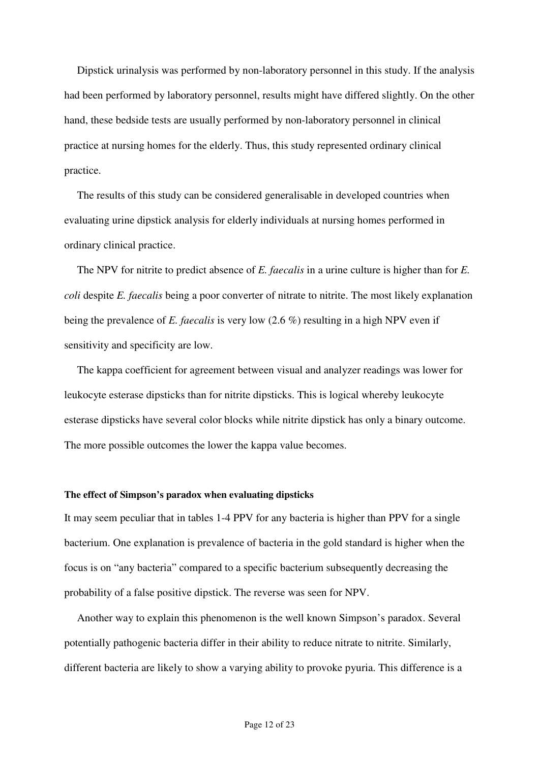Dipstick urinalysis was performed by non-laboratory personnel in this study. If the analysis had been performed by laboratory personnel, results might have differed slightly. On the other hand, these bedside tests are usually performed by non-laboratory personnel in clinical practice at nursing homes for the elderly. Thus, this study represented ordinary clinical practice.

The results of this study can be considered generalisable in developed countries when evaluating urine dipstick analysis for elderly individuals at nursing homes performed in ordinary clinical practice.

The NPV for nitrite to predict absence of *E. faecalis* in a urine culture is higher than for *E. coli* despite *E. faecalis* being a poor converter of nitrate to nitrite. The most likely explanation being the prevalence of *E. faecalis* is very low (2.6 %) resulting in a high NPV even if sensitivity and specificity are low.

The kappa coefficient for agreement between visual and analyzer readings was lower for leukocyte esterase dipsticks than for nitrite dipsticks. This is logical whereby leukocyte esterase dipsticks have several color blocks while nitrite dipstick has only a binary outcome. The more possible outcomes the lower the kappa value becomes.

#### **The effect of Simpson's paradox when evaluating dipsticks**

It may seem peculiar that in tables 1-4 PPV for any bacteria is higher than PPV for a single bacterium. One explanation is prevalence of bacteria in the gold standard is higher when the focus is on "any bacteria" compared to a specific bacterium subsequently decreasing the probability of a false positive dipstick. The reverse was seen for NPV.

Another way to explain this phenomenon is the well known Simpson's paradox. Several potentially pathogenic bacteria differ in their ability to reduce nitrate to nitrite. Similarly, different bacteria are likely to show a varying ability to provoke pyuria. This difference is a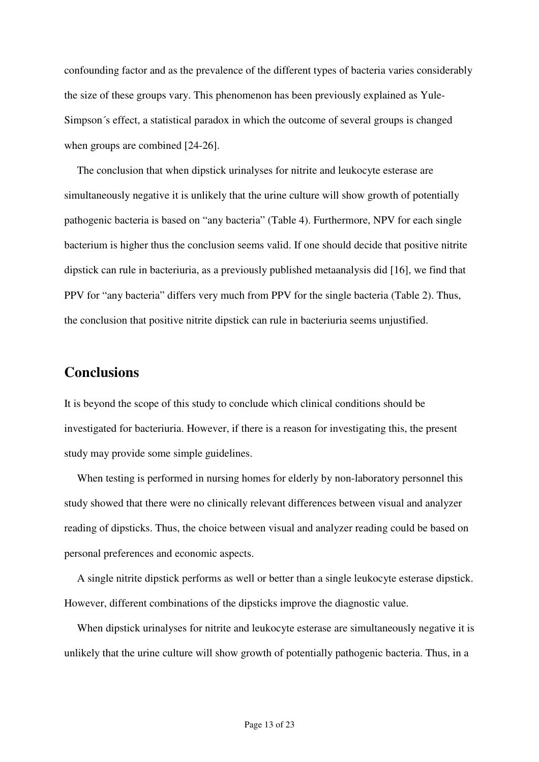confounding factor and as the prevalence of the different types of bacteria varies considerably the size of these groups vary. This phenomenon has been previously explained as Yule-Simpson´s effect, a statistical paradox in which the outcome of several groups is changed when groups are combined [24-26].

 The conclusion that when dipstick urinalyses for nitrite and leukocyte esterase are simultaneously negative it is unlikely that the urine culture will show growth of potentially pathogenic bacteria is based on "any bacteria" (Table 4). Furthermore, NPV for each single bacterium is higher thus the conclusion seems valid. If one should decide that positive nitrite dipstick can rule in bacteriuria, as a previously published metaanalysis did [16], we find that PPV for "any bacteria" differs very much from PPV for the single bacteria (Table 2). Thus, the conclusion that positive nitrite dipstick can rule in bacteriuria seems unjustified.

## **Conclusions**

It is beyond the scope of this study to conclude which clinical conditions should be investigated for bacteriuria. However, if there is a reason for investigating this, the present study may provide some simple guidelines.

When testing is performed in nursing homes for elderly by non-laboratory personnel this study showed that there were no clinically relevant differences between visual and analyzer reading of dipsticks. Thus, the choice between visual and analyzer reading could be based on personal preferences and economic aspects.

A single nitrite dipstick performs as well or better than a single leukocyte esterase dipstick. However, different combinations of the dipsticks improve the diagnostic value.

When dipstick urinalyses for nitrite and leukocyte esterase are simultaneously negative it is unlikely that the urine culture will show growth of potentially pathogenic bacteria. Thus, in a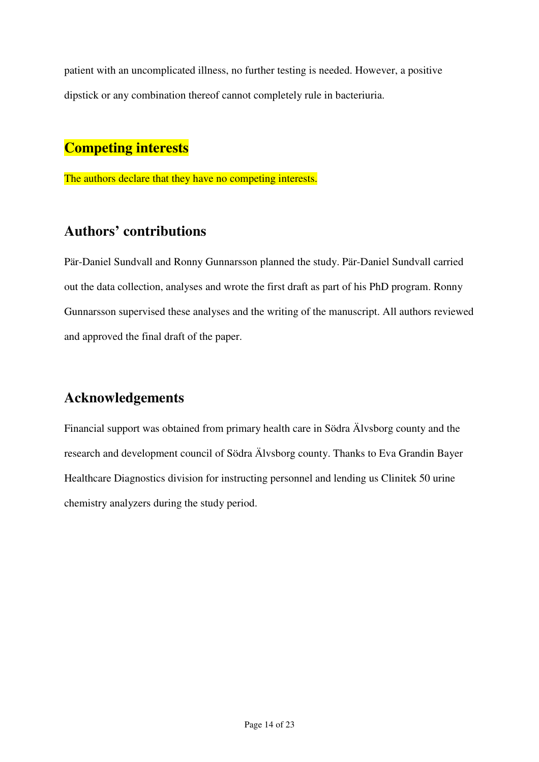patient with an uncomplicated illness, no further testing is needed. However, a positive dipstick or any combination thereof cannot completely rule in bacteriuria.

# **Competing interests**

The authors declare that they have no competing interests.

# **Authors' contributions**

Pär-Daniel Sundvall and Ronny Gunnarsson planned the study. Pär-Daniel Sundvall carried out the data collection, analyses and wrote the first draft as part of his PhD program. Ronny Gunnarsson supervised these analyses and the writing of the manuscript. All authors reviewed and approved the final draft of the paper.

# **Acknowledgements**

Financial support was obtained from primary health care in Södra Älvsborg county and the research and development council of Södra Älvsborg county. Thanks to Eva Grandin Bayer Healthcare Diagnostics division for instructing personnel and lending us Clinitek 50 urine chemistry analyzers during the study period.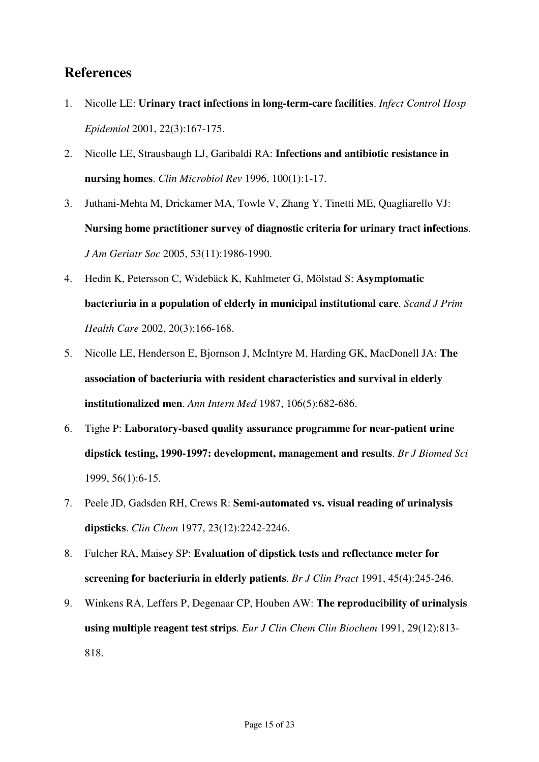# **References**

- 1. Nicolle LE: **Urinary tract infections in long-term-care facilities**. *Infect Control Hosp Epidemiol* 2001, 22(3):167-175.
- 2. Nicolle LE, Strausbaugh LJ, Garibaldi RA: **Infections and antibiotic resistance in nursing homes**. *Clin Microbiol Rev* 1996, 100(1):1-17.
- 3. Juthani-Mehta M, Drickamer MA, Towle V, Zhang Y, Tinetti ME, Quagliarello VJ: **Nursing home practitioner survey of diagnostic criteria for urinary tract infections**. *J Am Geriatr Soc* 2005, 53(11):1986-1990.
- 4. Hedin K, Petersson C, Widebäck K, Kahlmeter G, Mölstad S: **Asymptomatic bacteriuria in a population of elderly in municipal institutional care**. *Scand J Prim Health Care* 2002, 20(3):166-168.
- 5. Nicolle LE, Henderson E, Bjornson J, McIntyre M, Harding GK, MacDonell JA: **The association of bacteriuria with resident characteristics and survival in elderly institutionalized men**. *Ann Intern Med* 1987, 106(5):682-686.
- 6. Tighe P: **Laboratory-based quality assurance programme for near-patient urine dipstick testing, 1990-1997: development, management and results**. *Br J Biomed Sci* 1999, 56(1):6-15.
- 7. Peele JD, Gadsden RH, Crews R: **Semi-automated vs. visual reading of urinalysis dipsticks**. *Clin Chem* 1977, 23(12):2242-2246.
- 8. Fulcher RA, Maisey SP: **Evaluation of dipstick tests and reflectance meter for screening for bacteriuria in elderly patients**. *Br J Clin Pract* 1991, 45(4):245-246.
- 9. Winkens RA, Leffers P, Degenaar CP, Houben AW: **The reproducibility of urinalysis using multiple reagent test strips**. *Eur J Clin Chem Clin Biochem* 1991, 29(12):813- 818.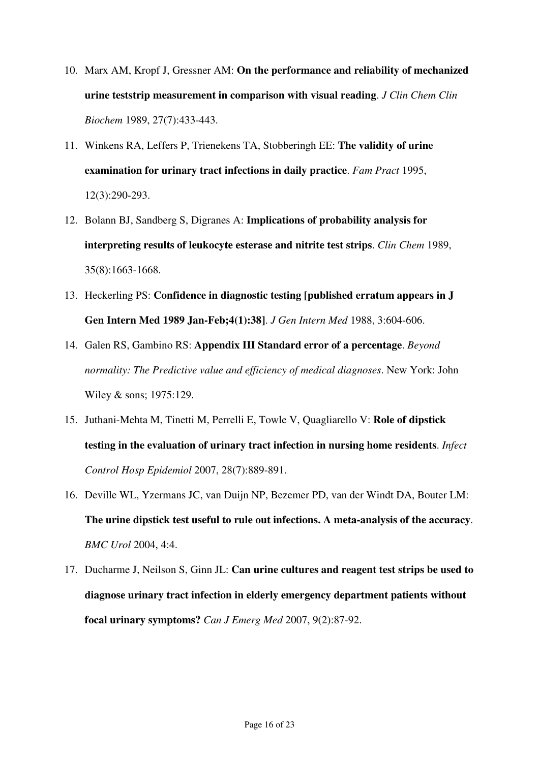- 10. Marx AM, Kropf J, Gressner AM: **On the performance and reliability of mechanized urine teststrip measurement in comparison with visual reading**. *J Clin Chem Clin Biochem* 1989, 27(7):433-443.
- 11. Winkens RA, Leffers P, Trienekens TA, Stobberingh EE: **The validity of urine examination for urinary tract infections in daily practice**. *Fam Pract* 1995, 12(3):290-293.
- 12. Bolann BJ, Sandberg S, Digranes A: **Implications of probability analysis for interpreting results of leukocyte esterase and nitrite test strips**. *Clin Chem* 1989, 35(8):1663-1668.
- 13. Heckerling PS: **Confidence in diagnostic testing [published erratum appears in J Gen Intern Med 1989 Jan-Feb;4(1):38]**. *J Gen Intern Med* 1988, 3:604-606.
- 14. Galen RS, Gambino RS: **Appendix III Standard error of a percentage**. *Beyond normality: The Predictive value and efficiency of medical diagnoses*. New York: John Wiley & sons; 1975:129.
- 15. Juthani-Mehta M, Tinetti M, Perrelli E, Towle V, Quagliarello V: **Role of dipstick testing in the evaluation of urinary tract infection in nursing home residents**. *Infect Control Hosp Epidemiol* 2007, 28(7):889-891.
- 16. Deville WL, Yzermans JC, van Duijn NP, Bezemer PD, van der Windt DA, Bouter LM: **The urine dipstick test useful to rule out infections. A meta-analysis of the accuracy**. *BMC Urol* 2004, 4:4.
- 17. Ducharme J, Neilson S, Ginn JL: **Can urine cultures and reagent test strips be used to diagnose urinary tract infection in elderly emergency department patients without focal urinary symptoms?** *Can J Emerg Med* 2007, 9(2):87-92.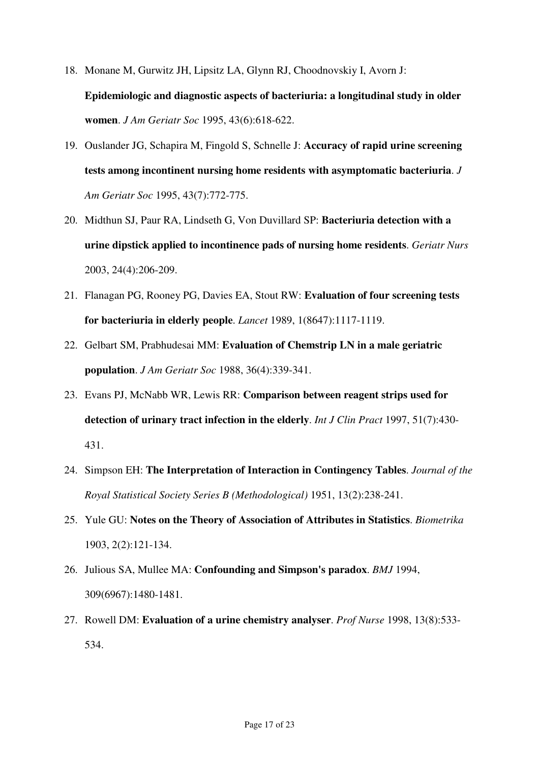- 18. Monane M, Gurwitz JH, Lipsitz LA, Glynn RJ, Choodnovskiy I, Avorn J: **Epidemiologic and diagnostic aspects of bacteriuria: a longitudinal study in older women**. *J Am Geriatr Soc* 1995, 43(6):618-622.
- 19. Ouslander JG, Schapira M, Fingold S, Schnelle J: **Accuracy of rapid urine screening tests among incontinent nursing home residents with asymptomatic bacteriuria**. *J Am Geriatr Soc* 1995, 43(7):772-775.
- 20. Midthun SJ, Paur RA, Lindseth G, Von Duvillard SP: **Bacteriuria detection with a urine dipstick applied to incontinence pads of nursing home residents**. *Geriatr Nurs* 2003, 24(4):206-209.
- 21. Flanagan PG, Rooney PG, Davies EA, Stout RW: **Evaluation of four screening tests for bacteriuria in elderly people**. *Lancet* 1989, 1(8647):1117-1119.
- 22. Gelbart SM, Prabhudesai MM: **Evaluation of Chemstrip LN in a male geriatric population**. *J Am Geriatr Soc* 1988, 36(4):339-341.
- 23. Evans PJ, McNabb WR, Lewis RR: **Comparison between reagent strips used for detection of urinary tract infection in the elderly**. *Int J Clin Pract* 1997, 51(7):430- 431.
- 24. Simpson EH: **The Interpretation of Interaction in Contingency Tables**. *Journal of the Royal Statistical Society Series B (Methodological)* 1951, 13(2):238-241.
- 25. Yule GU: **Notes on the Theory of Association of Attributes in Statistics**. *Biometrika* 1903, 2(2):121-134.
- 26. Julious SA, Mullee MA: **Confounding and Simpson's paradox**. *BMJ* 1994, 309(6967):1480-1481.
- 27. Rowell DM: **Evaluation of a urine chemistry analyser**. *Prof Nurse* 1998, 13(8):533- 534.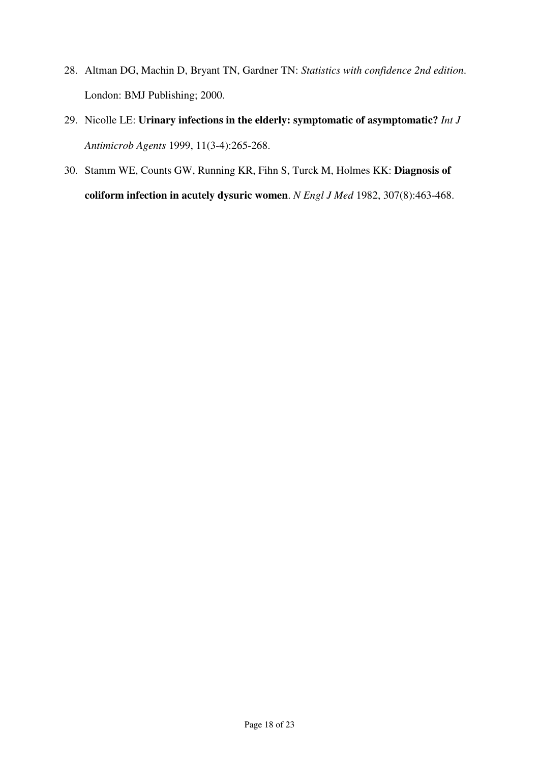- 28. Altman DG, Machin D, Bryant TN, Gardner TN: *Statistics with confidence 2nd edition*. London: BMJ Publishing; 2000.
- 29. Nicolle LE: **Urinary infections in the elderly: symptomatic of asymptomatic?** *Int J Antimicrob Agents* 1999, 11(3-4):265-268.
- 30. Stamm WE, Counts GW, Running KR, Fihn S, Turck M, Holmes KK: **Diagnosis of coliform infection in acutely dysuric women**. *N Engl J Med* 1982, 307(8):463-468.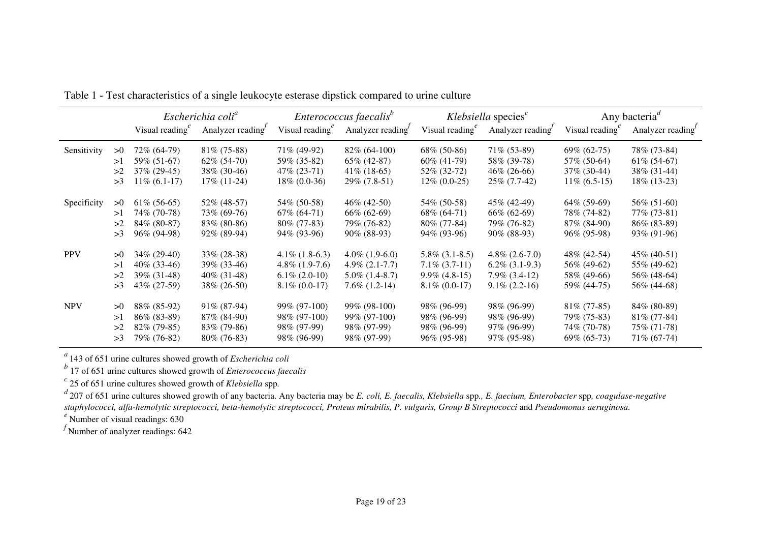|             |    | Visual reading $e^e$ | Escherichia coli <sup>a</sup><br>Analyzer reading | Visual reading $e^e$ | Enterococcus faecalis <sup>b</sup><br>Analyzer reading | Visual reading $e^e$ | $Klebsiella$ species <sup><math>c</math></sup><br>Analyzer reading | Visual reading <sup>e</sup> | Any bacteria <sup><math>d</math></sup><br>Analyzer reading |
|-------------|----|----------------------|---------------------------------------------------|----------------------|--------------------------------------------------------|----------------------|--------------------------------------------------------------------|-----------------------------|------------------------------------------------------------|
| Sensitivity | >0 | 72\% (64-79)         | $81\%$ (75-88)                                    | 71% (49-92)          | $82\%$ (64-100)                                        | $68\%$ (50-86)       | $71\%$ (53-89)                                                     | $69\% (62-75)$              | 78% (73-84)                                                |
|             | >1 | 59% (51-67)          | $62\%$ $(54-70)$                                  | 59% (35-82)          | 65% (42-87)                                            | $60\%$ (41-79)       | 58% (39-78)                                                        | 57\% (50-64)                | $61\%$ (54-67)                                             |
|             | >2 | $37\% (29-45)$       | 38\% (30-46)                                      | $47\%$ (23-71)       | $41\%$ (18-65)                                         | 52\% (32-72)         | $46\%$ (26-66)                                                     | $37\%$ (30-44)              | 38\% (31-44)                                               |
|             | >3 | $11\% (6.1-17)$      | $17\%$ (11-24)                                    | $18\% (0.0-36)$      | 29% (7.8-51)                                           | $12\% (0.0-25)$      | $25\%$ (7.7-42)                                                    | $11\% (6.5-15)$             | $18\%$ (13-23)                                             |
| Specificity | >0 | $61\% (56-65)$       | 52\% (48-57)                                      | 54\% (50-58)         | $46\%$ (42-50)                                         | 54\% (50-58)         | 45\% (42-49)                                                       | $64\%$ (59-69)              | 56\% (51-60)                                               |
|             | >1 | 74% (70-78)          | 73% (69-76)                                       | $67\%$ $(64-71)$     | 66% (62-69)                                            | 68% (64-71)          | 66% (62-69)                                                        | 78% (74-82)                 | 77% (73-81)                                                |
|             | >2 | 84% (80-87)          | $83\%$ (80-86)                                    | $80\%$ (77-83)       | 79% (76-82)                                            | $80\%$ (77-84)       | 79% (76-82)                                                        | 87\% (84-90)                | $86\%$ (83-89)                                             |
|             | >3 | 96\% (94-98)         | $92\%$ (89-94)                                    | $94\%$ (93-96)       | $90\%$ (88-93)                                         | $94\%$ (93-96)       | $90\%$ (88-93)                                                     | $96\%$ (95-98)              | 93\% (91-96)                                               |
| <b>PPV</b>  | >0 | 34\% (29-40)         | $33\% (28-38)$                                    | $4.1\%$ (1.8-6.3)    | $4.0\%$ (1.9-6.0)                                      | $5.8\%$ (3.1-8.5)    | $4.8\%$ (2.6-7.0)                                                  | 48\% (42-54)                | 45\% (40-51)                                               |
|             | >1 | $40\%$ (33-46)       | 39\% (33-46)                                      | $4.8\%$ (1.9-7.6)    | $4.9\%$ $(2.1-7.7)$                                    | $7.1\%$ (3.7-11)     | $6.2\%$ (3.1-9.3)                                                  | 56\% (49-62)                | 55% (49-62)                                                |
|             | >2 | 39\% (31-48)         | $40\%$ (31-48)                                    | $6.1\% (2.0-10)$     | $5.0\%$ (1.4-8.7)                                      | $9.9\%$ (4.8-15)     | $7.9\%$ $(3.4-12)$                                                 | 58\% (49-66)                | 56\% (48-64)                                               |
|             | >3 | 43% (27-59)          | $38\% (26-50)$                                    | $8.1\% (0.0-17)$     | $7.6\%$ $(1.2-14)$                                     | $8.1\%$ (0.0-17)     | $9.1\% (2.2-16)$                                                   | 59\% (44-75)                | 56\% (44-68)                                               |
| <b>NPV</b>  | >0 | 88% (85-92)          | 91\% (87-94)                                      | 99% (97-100)         | 99% (98-100)                                           | 98\% (96-99)         | 98\% (96-99)                                                       | $81\%$ (77-85)              | 84% (80-89)                                                |
|             | >1 | $86\%$ (83-89)       | 87\% (84-90)                                      | 98\% (97-100)        | 99% (97-100)                                           | 98\% (96-99)         | 98% (96-99)                                                        | 79% (75-83)                 | $81\%$ (77-84)                                             |
|             | >2 | $82\%$ (79-85)       | 83% (79-86)                                       | 98% (97-99)          | 98\% (97-99)                                           | 98% (96-99)          | 97% (96-99)                                                        | 74\% (70-78)                | 75% (71-78)                                                |
|             | >3 | 79% (76-82)          | $80\%$ (76-83)                                    | 98\% (96-99)         | 98\% (97-99)                                           | $96\%$ (95-98)       | 97\% (95-98)                                                       | $69\% (65-73)$              | 71\% (67-74)                                               |

Table 1 - Test characteristics of a single leukocyte esterase dipstick compared to urine culture

*a* 143 of 651 urine cultures showed growth of *Escherichia coli b* 17 of 651 urine cultures showed growth of *Enterococcus faecalis*

*c* 25 of 651 urine cultures showed growth of *Klebsiella* spp*.*

*<sup>d</sup>*207 of 651 urine cultures showed growth of any bacteria. Any bacteria may be *E. coli, E. faecalis, Klebsiella* spp*., E. faecium, Enterobacter* spp*, coagulase-negative staphylococci, alfa-hemolytic streptococci, beta-hemolytic streptococci, Proteus mirabilis, P. vulgaris, Group B Streptococci* and *Pseudomonas aeruginosa.*

*e* Number of visual readings: 630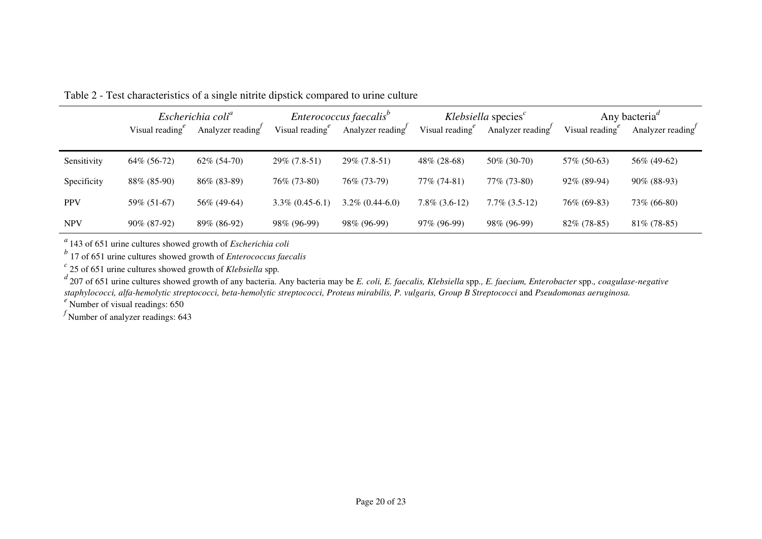|             | Escherichia coli <sup>a</sup><br>Visual reading $\epsilon$<br>Analyzer reading |                | Enterococcus faecalis <sup>b</sup><br>Visual reading $e^e$<br>Analyzer reading |                    | Klebsiella species $c$<br>Visual reading $e^e$<br>Analyzer reading |                    | Any bacteria <sup><i>a</i></sup><br>Visual reading <sup>e</sup><br>Analyzer reading |                |
|-------------|--------------------------------------------------------------------------------|----------------|--------------------------------------------------------------------------------|--------------------|--------------------------------------------------------------------|--------------------|-------------------------------------------------------------------------------------|----------------|
| Sensitivity | 64\% (56-72)                                                                   | $62\% (54-70)$ | 29% (7.8-51)                                                                   | $29\% (7.8-51)$    | 48% (28-68)                                                        | 50\% (30-70)       | 57\% (50-63)                                                                        | 56\% (49-62)   |
| Specificity | 88% (85-90)                                                                    | $86\%$ (83-89) | 76\% (73-80)                                                                   | 76\% (73-79)       | 77% (74-81)                                                        | 77% (73-80)        | 92% (89-94)                                                                         | $90\%$ (88-93) |
| <b>PPV</b>  | 59% (51-67)                                                                    | 56% (49-64)    | $3.3\% (0.45-6.1)$                                                             | $3.2\% (0.44-6.0)$ | $7.8\%$ (3.6-12)                                                   | $7.7\%$ $(3.5-12)$ | 76\% (69-83)                                                                        | 73% (66-80)    |
| <b>NPV</b>  | $90\%$ (87-92)                                                                 | 89% (86-92)    | 98% (96-99)                                                                    | 98\% (96-99)       | 97% (96-99)                                                        | 98% (96-99)        | $82\%$ (78-85)                                                                      | $81\%$ (78-85) |

Table 2 - Test characteristics of a single nitrite dipstick compared to urine culture

*a* 143 of 651 urine cultures showed growth of *Escherichia coli b* 17 of 651 urine cultures showed growth of *Enterococcus faecalis*

*c* 25 of 651 urine cultures showed growth of *Klebsiella* spp*.* 

*d* 207 of 651 urine cultures showed growth of any bacteria. Any bacteria may be *E. coli, E. faecalis, Klebsiella* spp*., E. faecium, Enterobacter* spp.*, coagulase-negative staphylococci, alfa-hemolytic streptococci, beta-hemolytic streptococci, Proteus mirabilis, P. vulgaris, Group B Streptococci* and *Pseudomonas aeruginosa.*

*e* Number of visual readings: 650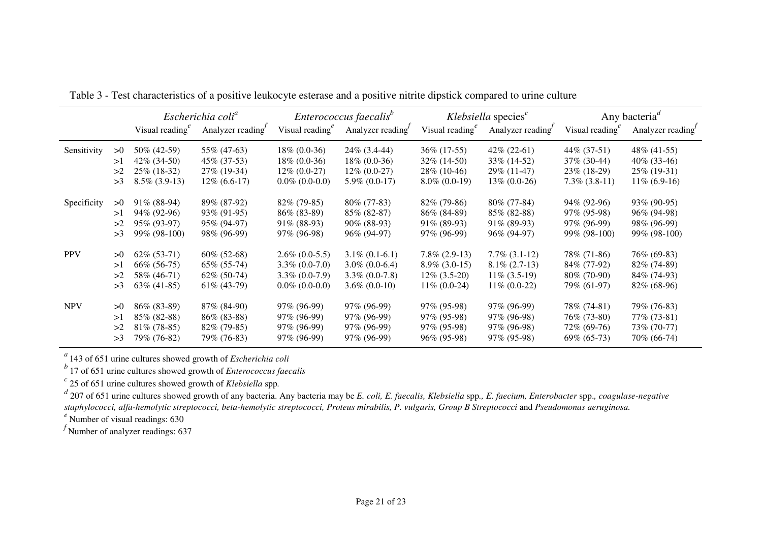|    | Escherichia coli <sup>a</sup> |                                                                                                                                                                           | Enterococcus faecalis <sup>b</sup>                                                                                                                                          |                                                                                                                                                                                       | Klebsiella species $c$                                                                                                                                                           |                                                                                                                                                                                       | Any bacteria <sup>a</sup><br>Analyzer reading                                                                                                                                    |                                                                                                                                                                      |
|----|-------------------------------|---------------------------------------------------------------------------------------------------------------------------------------------------------------------------|-----------------------------------------------------------------------------------------------------------------------------------------------------------------------------|---------------------------------------------------------------------------------------------------------------------------------------------------------------------------------------|----------------------------------------------------------------------------------------------------------------------------------------------------------------------------------|---------------------------------------------------------------------------------------------------------------------------------------------------------------------------------------|----------------------------------------------------------------------------------------------------------------------------------------------------------------------------------|----------------------------------------------------------------------------------------------------------------------------------------------------------------------|
|    |                               |                                                                                                                                                                           |                                                                                                                                                                             |                                                                                                                                                                                       |                                                                                                                                                                                  |                                                                                                                                                                                       |                                                                                                                                                                                  |                                                                                                                                                                      |
| >0 | 50\% (42-59)                  | 55% (47-63)                                                                                                                                                               | $18\% (0.0-36)$                                                                                                                                                             | $24\%$ (3.4-44)                                                                                                                                                                       | 36\% (17-55)                                                                                                                                                                     | $42\% (22-61)$                                                                                                                                                                        | 44\% (37-51)                                                                                                                                                                     | 48\% (41-55)                                                                                                                                                         |
| >1 | $42\%$ (34-50)                | 45\% (37-53)                                                                                                                                                              | $18\% (0.0-36)$                                                                                                                                                             | $18\% (0.0-36)$                                                                                                                                                                       | $32\%$ (14-50)                                                                                                                                                                   | 33\% (14-52)                                                                                                                                                                          | $37\%$ (30-44)                                                                                                                                                                   | $40\%$ (33-46)                                                                                                                                                       |
| >2 | $25\%$ (18-32)                | $27\%$ (19-34)                                                                                                                                                            | $12\% (0.0-27)$                                                                                                                                                             | $12\% (0.0-27)$                                                                                                                                                                       | $28\%$ (10-46)                                                                                                                                                                   | 29\% (11-47)                                                                                                                                                                          | $23\%$ (18-29)                                                                                                                                                                   | $25\%$ (19-31)                                                                                                                                                       |
| >3 | $8.5\%$ (3.9-13)              | $12\%$ (6.6-17)                                                                                                                                                           | $0.0\%$ (0.0-0.0)                                                                                                                                                           | $5.9\%$ (0.0-17)                                                                                                                                                                      | $8.0\%$ (0.0-19)                                                                                                                                                                 | $13\% (0.0-26)$                                                                                                                                                                       | $7.3\%$ $(3.8-11)$                                                                                                                                                               | $11\%$ (6.9-16)                                                                                                                                                      |
|    |                               |                                                                                                                                                                           |                                                                                                                                                                             |                                                                                                                                                                                       |                                                                                                                                                                                  |                                                                                                                                                                                       |                                                                                                                                                                                  | 93\% (90-95)                                                                                                                                                         |
|    |                               |                                                                                                                                                                           |                                                                                                                                                                             |                                                                                                                                                                                       |                                                                                                                                                                                  |                                                                                                                                                                                       |                                                                                                                                                                                  | 96% (94-98)                                                                                                                                                          |
|    |                               |                                                                                                                                                                           |                                                                                                                                                                             |                                                                                                                                                                                       |                                                                                                                                                                                  |                                                                                                                                                                                       |                                                                                                                                                                                  | 98\% (96-99)                                                                                                                                                         |
| >3 | 99% (98-100)                  | 98% (96-99)                                                                                                                                                               | 97\% (96-98)                                                                                                                                                                | 96\% (94-97)                                                                                                                                                                          | $97\%$ (96-99)                                                                                                                                                                   | 96\% (94-97)                                                                                                                                                                          | 99\% (98-100)                                                                                                                                                                    | 99% (98-100)                                                                                                                                                         |
| >0 |                               |                                                                                                                                                                           |                                                                                                                                                                             |                                                                                                                                                                                       |                                                                                                                                                                                  |                                                                                                                                                                                       |                                                                                                                                                                                  | 76\% (69-83)                                                                                                                                                         |
| >1 |                               |                                                                                                                                                                           |                                                                                                                                                                             |                                                                                                                                                                                       |                                                                                                                                                                                  |                                                                                                                                                                                       |                                                                                                                                                                                  | $82\%$ (74-89)                                                                                                                                                       |
| >2 |                               |                                                                                                                                                                           |                                                                                                                                                                             |                                                                                                                                                                                       |                                                                                                                                                                                  |                                                                                                                                                                                       |                                                                                                                                                                                  | 84\% (74-93)                                                                                                                                                         |
| >3 | $63\% (41-85)$                | $61\%$ (43-79)                                                                                                                                                            | $0.0\%$ (0.0-0.0)                                                                                                                                                           | $3.6\% (0.0-10)$                                                                                                                                                                      | $11\% (0.0-24)$                                                                                                                                                                  | $11\% (0.0-22)$                                                                                                                                                                       | 79\% (61-97)                                                                                                                                                                     | $82\%$ (68-96)                                                                                                                                                       |
| >0 |                               |                                                                                                                                                                           |                                                                                                                                                                             |                                                                                                                                                                                       |                                                                                                                                                                                  |                                                                                                                                                                                       |                                                                                                                                                                                  | 79% (76-83)                                                                                                                                                          |
| >1 |                               |                                                                                                                                                                           |                                                                                                                                                                             |                                                                                                                                                                                       |                                                                                                                                                                                  |                                                                                                                                                                                       |                                                                                                                                                                                  | 77\% (73-81)                                                                                                                                                         |
| >2 |                               |                                                                                                                                                                           |                                                                                                                                                                             |                                                                                                                                                                                       |                                                                                                                                                                                  |                                                                                                                                                                                       |                                                                                                                                                                                  | 73\% (70-77)                                                                                                                                                         |
| >3 | 79% (76-82)                   | 79% (76-83)                                                                                                                                                               | $97\%$ (96-99)                                                                                                                                                              | 97\% (96-99)                                                                                                                                                                          | $96\%$ (95-98)                                                                                                                                                                   | $97\%$ (95-98)                                                                                                                                                                        | $69\% (65-73)$                                                                                                                                                                   | 70% (66-74)                                                                                                                                                          |
|    | >0<br>>1<br>>2                | Visual reading $e^e$<br>$91\%$ (88-94)<br>94\% (92-96)<br>95% (93-97)<br>$62\%$ $(53-71)$<br>66% (56-75)<br>58\% (46-71)<br>86\% (83-89)<br>85% (82-88)<br>$81\%$ (78-85) | Analyzer reading<br>89% (87-92)<br>93\% (91-95)<br>95\% (94-97)<br>$60\%$ (52-68)<br>$65\%$ $(55-74)$<br>$62\%$ (50-74)<br>87\% (84-90)<br>$86\%$ (83-88)<br>$82\%$ (79-85) | Visual reading $e^e$<br>$82\%$ (79-85)<br>86% (83-89)<br>$91\%$ (88-93)<br>$2.6\%$ (0.0-5.5)<br>$3.3\% (0.0-7.0)$<br>$3.3\% (0.0-7.9)$<br>97\% (96-99)<br>97\% (96-99)<br>97% (96-99) | Analyzer reading<br>$80\%$ (77-83)<br>85% (82-87)<br>$90\%$ (88-93)<br>$3.1\% (0.1-6.1)$<br>$3.0\%$ (0.0-6.4)<br>$3.3\%$ (0.0-7.8)<br>97% (96-99)<br>97\% (96-99)<br>97% (96-99) | Visual reading $e^e$<br>$82\%$ (79-86)<br>86\% (84-89)<br>$91\%$ (89-93)<br>$7.8\%$ (2.9-13)<br>$8.9\%$ (3.0-15)<br>$12\%$ (3.5-20)<br>97\% (95-98)<br>$97\%$ (95-98)<br>97\% (95-98) | Analyzer reading<br>$80\%$ (77-84)<br>85% (82-88)<br>$91\%$ (89-93)<br>$7.7\%$ $(3.1-12)$<br>$8.1\% (2.7-13)$<br>$11\%$ (3.5-19)<br>97\% (96-99)<br>97\% (96-98)<br>97\% (96-98) | Visual reading<br>$94\%$ (92-96)<br>97\% (95-98)<br>$97\%$ (96-99)<br>78\% (71-86)<br>84\% (77-92)<br>$80\%$ (70-90)<br>78\% (74-81)<br>76\% (73-80)<br>72\% (69-76) |

Table 3 - Test characteristics of a positive leukocyte esterase and a positive nitrite dipstick compared to urine culture

*a* 143 of 651 urine cultures showed growth of *Escherichia coli b* 17 of 651 urine cultures showed growth of *Enterococcus faecalis*

c<br>d 207 of 651 urine cultures showed growth of *Klebsiella* spp.<br>d 207 of 651 urine cultures showed growth of any bacteria. Any bacteria may be *E. coli, E. faecalis, Klebsiella* spp., *E. faecium, Enterobacter* spp., *coa staphylococci, alfa-hemolytic streptococci, beta-hemolytic streptococci, Proteus mirabilis, P. vulgaris, Group B Streptococci* and *Pseudomonas aeruginosa.*

*e* Number of visual readings: 630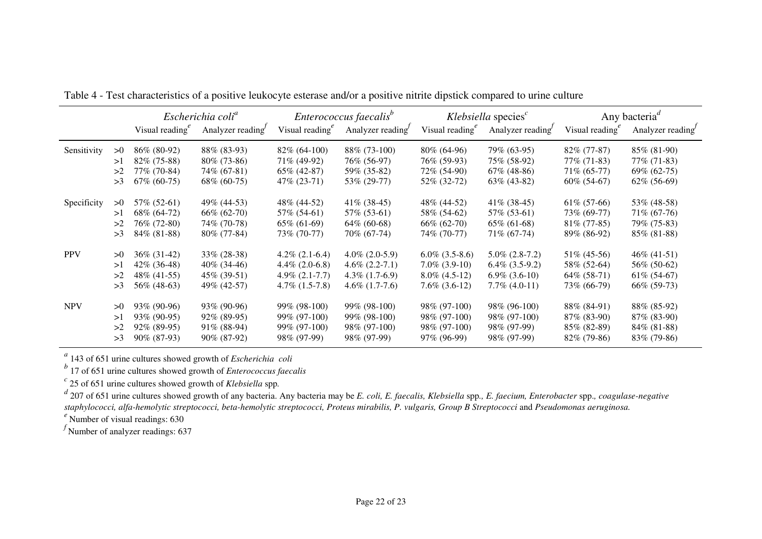|             |    | Visual reading $^e$ | Escherichia coli <sup>a</sup><br>Analyzer reading | Visual reading $e^e$ | Enterococcus faecalis <sup>b</sup><br>Analyzer reading | Visual reading $e^e$ | Klebsiella species $c$<br>Analyzer reading | Visual reading | Any bacteria <sup><math>d</math></sup><br>Analyzer reading |
|-------------|----|---------------------|---------------------------------------------------|----------------------|--------------------------------------------------------|----------------------|--------------------------------------------|----------------|------------------------------------------------------------|
| Sensitivity | >0 | 86\% (80-92)        | 88\% (83-93)                                      | $82\%$ (64-100)      | 88\% (73-100)                                          | $80\%$ (64-96)       | 79% (63-95)                                | $82\%$ (77-87) | 85% (81-90)                                                |
|             | >1 | $82\%$ (75-88)      | $80\%$ (73-86)                                    | 71\% (49-92)         | 76% (56-97)                                            | 76% (59-93)          | 75% (58-92)                                | 77\% (71-83)   | 77\% (71-83)                                               |
|             | >2 | 77\% (70-84)        | 74\% (67-81)                                      | $65\%$ (42-87)       | 59\% (35-82)                                           | 72\% (54-90)         | $67\%$ (48-86)                             | $71\%$ (65-77) | $69\% (62-75)$                                             |
|             | >3 | $67\%$ (60-75)      | $68\%~(60-75)$                                    | 47\% (23-71)         | 53% (29-77)                                            | 52\% (32-72)         | $63\%$ (43-82)                             | $60\%$ (54-67) | 62% (56-69)                                                |
| Specificity | >0 | 57\% (52-61)        | 49\% (44-53)                                      | 48\% (44-52)         | $41\%$ (38-45)                                         | 48\% (44-52)         | $41\%$ (38-45)                             | $61\% (57-66)$ | 53% (48-58)                                                |
|             | >1 | 68\% (64-72)        | $66\% (62-70)$                                    | 57% (54-61)          | 57% (53-61)                                            | 58\% (54-62)         | 57% (53-61)                                | 73\% (69-77)   | 71\% (67-76)                                               |
|             | >2 | 76% (72-80)         | 74\% (70-78)                                      | $65\% (61-69)$       | $64\%$ (60-68)                                         | $66\%$ (62-70)       | $65\% (61-68)$                             | $81\%$ (77-85) | 79% (75-83)                                                |
|             | >3 | 84% (81-88)         | 80% (77-84)                                       | 73% (70-77)          | 70% (67-74)                                            | 74% (70-77)          | 71\% (67-74)                               | 89% (86-92)    | 85% (81-88)                                                |
| <b>PPV</b>  | >0 | $36\%$ (31-42)      | $33\% (28-38)$                                    | $4.2\%$ (2.1-6.4)    | $4.0\%$ (2.0-5.9)                                      | $6.0\%$ (3.5-8.6)    | $5.0\%$ (2.8-7.2)                          | $51\% (45-56)$ | $46\%$ (41-51)                                             |
|             | >1 | $42\%$ (36-48)      | $40\%$ (34-46)                                    | $4.4\%$ (2.0-6.8)    | $4.6\%$ (2.2-7.1)                                      | $7.0\%$ (3.9-10)     | $6.4\%$ $(3.5-9.2)$                        | 58\% (52-64)   | 56\% (50-62)                                               |
|             | >2 | 48\% (41-55)        | $45\%$ (39-51)                                    | $4.9\%$ $(2.1-7.7)$  | $4.3\%$ (1.7-6.9)                                      | $8.0\%$ (4.5-12)     | $6.9\%$ $(3.6-10)$                         | $64\%$ (58-71) | $61\% (54-67)$                                             |
|             | >3 | 56\% (48-63)        | 49\% (42-57)                                      | $4.7\%$ $(1.5-7.8)$  | $4.6\%$ (1.7-7.6)                                      | $7.6\%$ $(3.6-12)$   | $7.7\%$ (4.0-11)                           | 73\% (66-79)   | $66\%$ (59-73)                                             |
| <b>NPV</b>  | >0 | 93\% (90-96)        | 93\% (90-96)                                      | 99% (98-100)         | 99% (98-100)                                           | 98\% (97-100)        | 98\% (96-100)                              | 88\% (84-91)   | 88% (85-92)                                                |
|             | >1 | 93% (90-95)         | $92\%$ (89-95)                                    | 99% (97-100)         | 99% (98-100)                                           | 98\% (97-100)        | 98\% (97-100)                              | $87\%$ (83-90) | $87\%$ (83-90)                                             |
|             | >2 | $92\%$ (89-95)      | $91\%$ (88-94)                                    | 99% (97-100)         | 98% (97-100)                                           | 98\% (97-100)        | 98\% (97-99)                               | $85\%$ (82-89) | $84\%$ (81-88)                                             |
|             | >3 | 90% (87-93)         | $90\%$ (87-92)                                    | 98\% (97-99)         | 98\% (97-99)                                           | 97\% (96-99)         | 98\% (97-99)                               | $82\%$ (79-86) | $83\%$ (79-86)                                             |

Table 4 - Test characteristics of a positive leukocyte esterase and/or a positive nitrite dipstick compared to urine culture

*a* 143 of 651 urine cultures showed growth of *Escherichia coli b* 17 of 651 urine cultures showed growth of *Enterococcus faecalis*

c<br>d 207 of 651 urine cultures showed growth of *Klebsiella* spp.<br>d 207 of 651 urine cultures showed growth of any bacteria. Any bacteria may be *E. coli, E. faecalis, Klebsiella* spp., *E. faecium, Enterobacter* spp., *coa staphylococci, alfa-hemolytic streptococci, beta-hemolytic streptococci, Proteus mirabilis, P. vulgaris, Group B Streptococci* and *Pseudomonas aeruginosa.*

*e* Number of visual readings: 630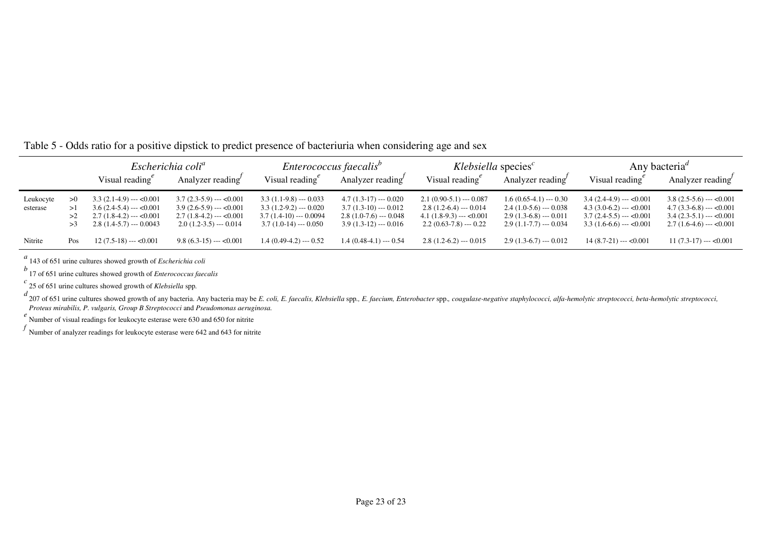|           |     | Escherichia coli <sup>a</sup>    |                                  | Enterococcus faecalis <sup>b</sup> |                                 | Klebsiella species <sup>c</sup>  |                                 | Any bacteria <sup>a</sup>        |                                  |
|-----------|-----|----------------------------------|----------------------------------|------------------------------------|---------------------------------|----------------------------------|---------------------------------|----------------------------------|----------------------------------|
|           |     | Visual reading $^e$              | Analyzer reading                 | Visual reading $^e$                | Analyzer reading                | Visual reading $e^e$             | Analyzer reading                | Visual reading <sup>e</sup>      | Analyzer reading                 |
| Leukocyte | >0  | $3.3(2.1-4.9)$ --- $< 0.001$     | $3.7(2.3-5.9)$ --- $<0.001$      | $3.3(1.1-9.8)$ --- 0.033           | $4.7(1.3-17)$ --- 0.020         | $2.1(0.90-5.1)$ --- 0.087        | $1.6(0.65-4.1) \leftarrow 0.30$ | $3.4(2.4-4.9) \rightarrow 0.001$ | $3.8(2.5-5.6)$ --- < 0.001       |
| esterase  |     | $3.6(2.4-5.4)$ --- $< 0.001$     | $3.9(2.6-5.9)$ --- $\leq 0.001$  | $3.3(1.2-9.2)$ --- 0.020           | $3.7(1.3-10)$ --- 0.012         | $2.8(1.2-6.4) \leftarrow 0.014$  | $2.4(1.0-5.6) \leftarrow 0.038$ | $4.3(3.0-6.2)$ --- $< 0.001$     | $4.7(3.3-6.8) \rightarrow 0.001$ |
|           | >2  | $2.7(1.8-4.2)$ --- $< 0.001$     | $2.7(1.8-4.2) \rightarrow 0.001$ | $3.7(1.4-10)$ --- 0.0094           | $2.8(1.0-7.6) \leftarrow 0.048$ | $4.1(1.8-9.3) \rightarrow 0.001$ | $2.9(1.3-6.8) \leftarrow 0.011$ | $3.7(2.4-5.5)$ --- < 0.001       | $3.4(2.3-5.1)$ --- < 0.001       |
|           |     | $2.8(1.4-5.7) \leftarrow 0.0043$ | $2.0(1.2-3.5)$ --- 0.014         | $3.7(1.0-14)$ --- 0.050            | $3.9(1.3-12)$ --- 0.016         | $2.2(0.63-7.8)$ --- 0.22         | $2.9(1.1-7.7)$ --- 0.034        | $3.3(1.6-6.6)$ --- < 0.001       | $2.7(1.6-4.6) \rightarrow 0.001$ |
| Nitrite   | Pos | $12(7.5-18)$ --- < 0.001         | $9.8(6.3-15)$ --- $<0.001$       | $1.4(0.49-4.2) -- 0.52$            | $1.4(0.48-4.1) \cdots 0.54$     | $2.8(1.2-6.2) \rightarrow 0.015$ | $2.9(1.3-6.7)$ --- 0.012        | $14(8.7-21)$ --- < 0.001         | $11(7.3-17)$ --- < 0.001         |

## Table 5 - Odds ratio for a positive dipstick to predict presence of bacteriuria when considering age and sex

*<sup>a</sup>*143 of 651 urine cultures showed growth of *Escherichia coli*

*b* 17 of 651 urine cultures showed growth of *Enterococcus faecalis*

*c* 25 of 651 urine cultures showed growth of *Klebsiella* spp*.*

d<br>207 of 651 urine cultures showed growth of any bacteria. Any bacteria may be E. coli, E. faecalis, Klebsiella spp., E. faecium, Enterobacter spp., coagulase-negative staphylococci, alfa-hemolytic streptococci, beta-hemol *Proteus mirabilis, P. vulgaris, Group B Streptococci* and *Pseudomonas aeruginosa.*

<sup>e</sup><br>
Number of visual readings for leukocyte esterase were 630 and 650 for nitrite

*f* Number of analyzer readings for leukocyte esterase were 642 and 643 for nitrite